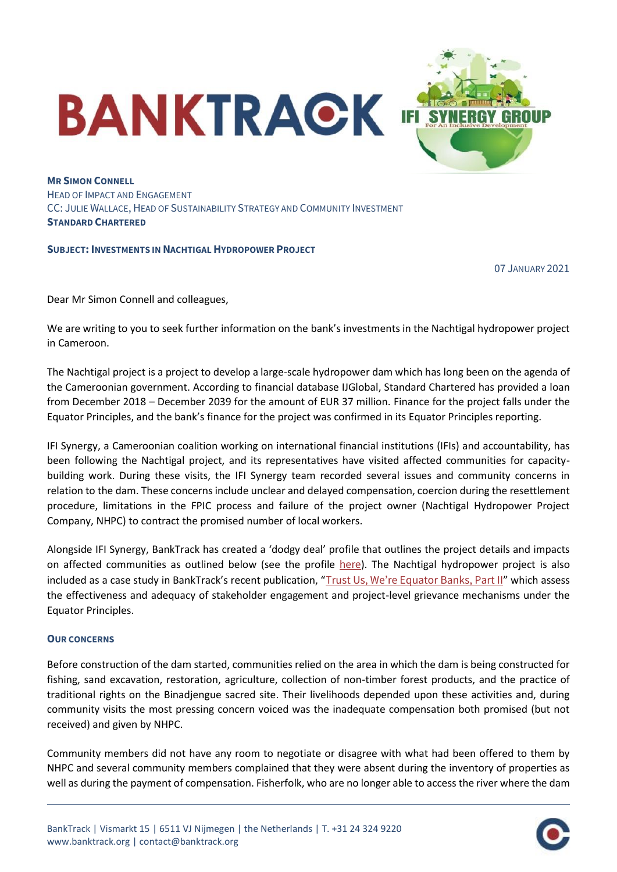

**MR SIMON CONNELL** HEAD OF IMPACT AND ENGAGEMENT CC: JULIE WALLACE, HEAD OF SUSTAINABILITY STRATEGY AND COMMUNITY INVESTMENT **STANDARD CHARTERED**

## **SUBJECT: INVESTMENTS IN NACHTIGAL HYDROPOWER PROJECT**

07 JANUARY 2021

Dear Mr Simon Connell and colleagues,

We are writing to you to seek further information on the bank's investments in the Nachtigal hydropower project in Cameroon.

The Nachtigal project is a project to develop a large-scale hydropower dam which has long been on the agenda of the Cameroonian government. According to financial database IJGlobal, Standard Chartered has provided a loan from December 2018 – December 2039 for the amount of EUR 37 million. Finance for the project falls under the Equator Principles, and the bank's finance for the project was confirmed in its Equator Principles reporting.

IFI Synergy, a Cameroonian coalition working on international financial institutions (IFIs) and accountability, has been following the Nachtigal project, and its representatives have visited affected communities for capacitybuilding work. During these visits, the IFI Synergy team recorded several issues and community concerns in relation to the dam. These concerns include unclear and delayed compensation, coercion during the resettlement procedure, limitations in the FPIC process and failure of the project owner (Nachtigal Hydropower Project Company, NHPC) to contract the promised number of local workers.

Alongside IFI Synergy, BankTrack has created a 'dodgy deal' profile that outlines the project details and impacts on affected communities as outlined below (see the profile [here](https://www.banktrack.org/project/nachtigal_hydropower_plant#_)). The Nachtigal hydropower project is also included as a case study in BankTrack's recent publication, "[Trust Us, We're Equator Banks, Part II](https://www.banktrack.org/download/trust_us_were_equator_banks_part_ii)" which assess the effectiveness and adequacy of stakeholder engagement and project-level grievance mechanisms under the Equator Principles.

## **OUR CONCERNS**

Before construction of the dam started, communities relied on the area in which the dam is being constructed for fishing, sand excavation, restoration, agriculture, collection of non-timber forest products, and the practice of traditional rights on the Binadjengue sacred site. Their livelihoods depended upon these activities and, during community visits the most pressing concern voiced was the inadequate compensation both promised (but not received) and given by NHPC.

Community members did not have any room to negotiate or disagree with what had been offered to them by NHPC and several community members complained that they were absent during the inventory of properties as well as during the payment of compensation. Fisherfolk, who are no longer able to access the river where the dam

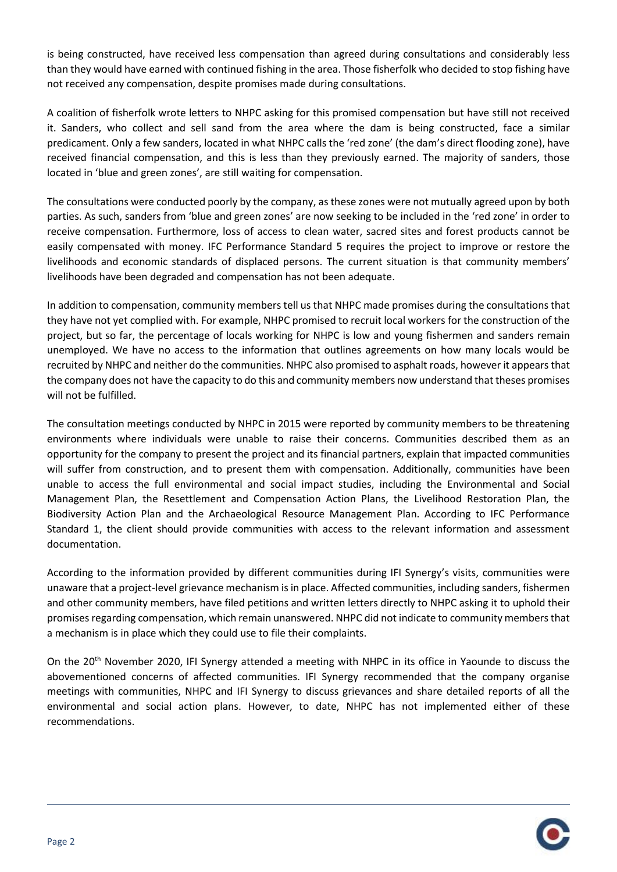is being constructed, have received less compensation than agreed during consultations and considerably less than they would have earned with continued fishing in the area. Those fisherfolk who decided to stop fishing have not received any compensation, despite promises made during consultations.

A coalition of fisherfolk wrote letters to NHPC asking for this promised compensation but have still not received it. Sanders, who collect and sell sand from the area where the dam is being constructed, face a similar predicament. Only a few sanders, located in what NHPC calls the 'red zone' (the dam's direct flooding zone), have received financial compensation, and this is less than they previously earned. The majority of sanders, those located in 'blue and green zones', are still waiting for compensation.

The consultations were conducted poorly by the company, as these zones were not mutually agreed upon by both parties. As such, sanders from 'blue and green zones' are now seeking to be included in the 'red zone' in order to receive compensation. Furthermore, loss of access to clean water, sacred sites and forest products cannot be easily compensated with money. IFC Performance Standard 5 requires the project to improve or restore the livelihoods and economic standards of displaced persons. The current situation is that community members' livelihoods have been degraded and compensation has not been adequate.

In addition to compensation, community members tell us that NHPC made promises during the consultations that they have not yet complied with. For example, NHPC promised to recruit local workers for the construction of the project, but so far, the percentage of locals working for NHPC is low and young fishermen and sanders remain unemployed. We have no access to the information that outlines agreements on how many locals would be recruited by NHPC and neither do the communities. NHPC also promised to asphalt roads, however it appears that the company does not have the capacity to do this and community members now understand that theses promises will not be fulfilled.

The consultation meetings conducted by NHPC in 2015 were reported by community members to be threatening environments where individuals were unable to raise their concerns. Communities described them as an opportunity for the company to present the project and its financial partners, explain that impacted communities will suffer from construction, and to present them with compensation. Additionally, communities have been unable to access the full environmental and social impact studies, including the Environmental and Social Management Plan, the Resettlement and Compensation Action Plans, the Livelihood Restoration Plan, the Biodiversity Action Plan and the Archaeological Resource Management Plan. According to IFC Performance Standard 1, the client should provide communities with access to the relevant information and assessment documentation.

According to the information provided by different communities during IFI Synergy's visits, communities were unaware that a project-level grievance mechanism is in place. Affected communities, including sanders, fishermen and other community members, have filed petitions and written letters directly to NHPC asking it to uphold their promises regarding compensation, which remain unanswered. NHPC did not indicate to community members that a mechanism is in place which they could use to file their complaints.

On the 20<sup>th</sup> November 2020, IFI Synergy attended a meeting with NHPC in its office in Yaounde to discuss the abovementioned concerns of affected communities. IFI Synergy recommended that the company organise meetings with communities, NHPC and IFI Synergy to discuss grievances and share detailed reports of all the environmental and social action plans. However, to date, NHPC has not implemented either of these recommendations.